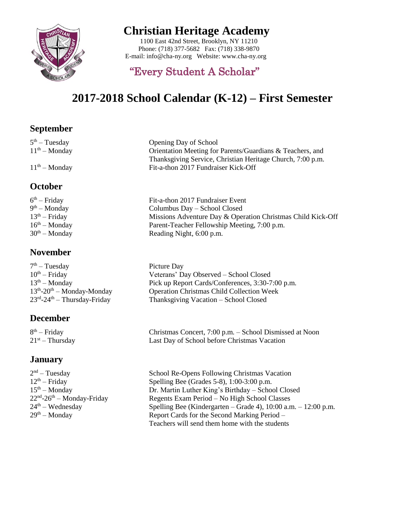

### **Christian Heritage Academy**

 1100 East 42nd Street, Brooklyn, NY 11210 Phone: (718) 377-5682 Fax: (718) 338-9870 E-mail[: info@cha-n](mailto:info@cha-)y.org Website: www.cha-ny.org

### "Every Student A Scholar"

# **2017-2018 School Calendar (K-12) – First Semester**

#### **September**

 $5<sup>th</sup> - Tuesday$  $11<sup>th</sup> - Monday$ 

11th – Monday Fit-a-thon 2017 Fundraiser Kick-Off

#### **October**

| $6th$ – Friday  | Fit-a-thon 2017 Fundraiser Event                            |
|-----------------|-------------------------------------------------------------|
| $9th - Monday$  | Columbus Day – School Closed                                |
| $13th - Friday$ | Missions Adventure Day & Operation Christmas Child Kick-Off |
| $16th - Monday$ | Parent-Teacher Fellowship Meeting, 7:00 p.m.                |
| $30th - Monday$ | Reading Night, 6:00 p.m.                                    |
|                 |                                                             |

Opening Day of School

### **November**

 $7<sup>th</sup>$  – Tuesday Picture Day  $10^{th}$  – Friday  $13<sup>th</sup> - 20<sup>th</sup> - Monday-Monday$  $23<sup>rd</sup> - 24$ 

### **December**

 $8<sup>th</sup> - Friday$  $21^{st}$  – Thursday

### **January**

 $2<sup>nd</sup> - Tuesday$  $12<sup>th</sup> - Friday$  $15<sup>th</sup> - Monday$  $22<sup>nd</sup>-26$  $24<sup>th</sup> - Wednesday$ 

Veterans' Day Observed – School Closed 13<sup>th</sup> – Monday Pick up Report Cards/Conferences, 3:30-7:00 p.m. Operation Christmas Child Collection Week Thanksgiving Vacation – School Closed

Orientation Meeting for Parents/Guardians & Teachers, and Thanksgiving Service, Christian Heritage Church, 7:00 p.m.

Christmas Concert, 7:00 p.m. – School Dismissed at Noon Last Day of School before Christmas Vacation

School Re-Opens Following Christmas Vacation Spelling Bee (Grades 5-8),  $1:00-3:00$  p.m. Dr. Martin Luther King's Birthday – School Closed Regents Exam Period – No High School Classes Spelling Bee (Kindergarten – Grade 4),  $10:00$  a.m. –  $12:00$  p.m.  $29<sup>th</sup>$  – Monday Report Cards for the Second Marking Period – Teachers will send them home with the students